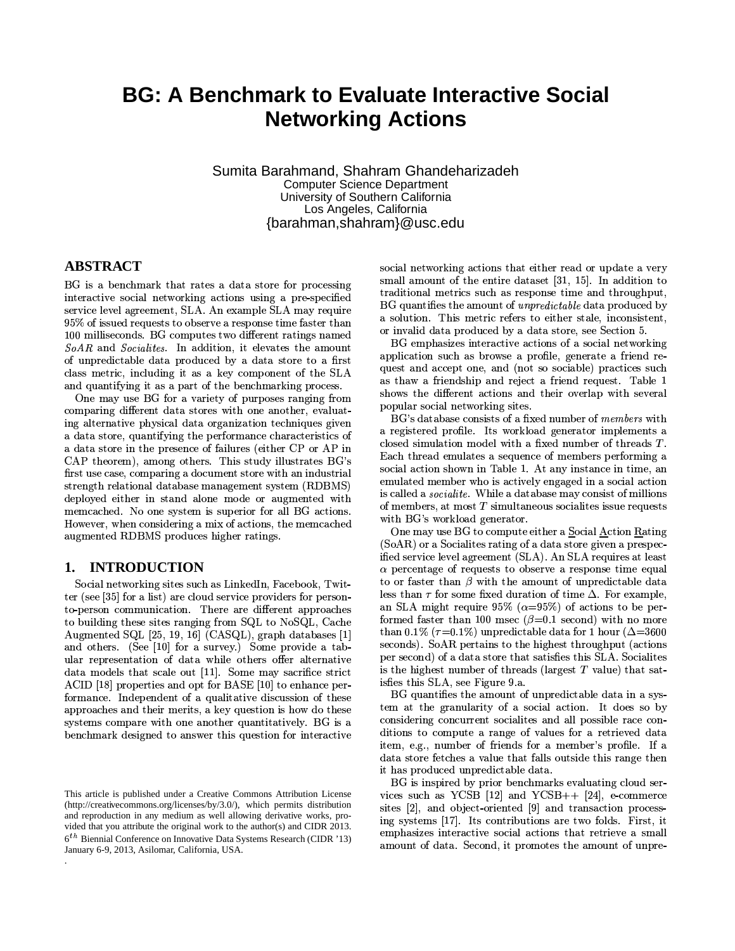# **BG: A Benchmark to Evaluate Interactive Social Networking Actions**

Sumita Barahmand, Shahram Ghandeharizadeh **Computer Science Department** University of Southern California Los Angeles, California {barahman, shahram}@usc.edu

### **ABSTRACT**

BG is a benchmark that rates a data store for processing interactive social networking actions using a pre-specified service level agreement, SLA. An example SLA may require 95% of issued requests to observe a response time faster than 100 milliseconds. BG computes two different ratings named SoAR and Socialites. In addition, it elevates the amount of unpredictable data produced by a data store to a first class metric, including it as a key component of the SLA and quantifying it as a part of the benchmarking process.

One may use BG for a variety of purposes ranging from comparing different data stores with one another, evaluating alternative physical data organization techniques given a data store, quantifying the performance characteristics of a data store in the presence of failures (either CP or AP in CAP theorem), among others. This study illustrates BG's first use case, comparing a document store with an industrial strength relational database management system (RDBMS) deployed either in stand alone mode or augmented with memcached. No one system is superior for all BG actions. However, when considering a mix of actions, the memcached augmented RDBMS produces higher ratings.

#### **INTRODUCTION** 1.

Social networking sites such as LinkedIn, Facebook, Twitter (see [35] for a list) are cloud service providers for personto-person communication. There are different approaches to building these sites ranging from SQL to NoSQL, Cache Augmented SQL [25, 19, 16] (CASQL), graph databases [1] and others. (See [10] for a survey.) Some provide a tabular representation of data while others offer alternative data models that scale out [11]. Some may sacrifice strict ACID [18] properties and opt for BASE [10] to enhance performance. Independent of a qualitative discussion of these approaches and their merits, a key question is how do these systems compare with one another quantitatively. BG is a benchmark designed to answer this question for interactive

social networking actions that either read or update a very small amount of the entire dataset [31, 15]. In addition to traditional metrics such as response time and throughput, BG quantifies the amount of *unpredictable* data produced by a solution. This metric refers to either stale, inconsistent, or invalid data produced by a data store, see Section 5.

BG emphasizes interactive actions of a social networking application such as browse a profile, generate a friend request and accept one, and (not so sociable) practices such as thaw a friendship and reject a friend request. Table 1 shows the different actions and their overlap with several popular social networking sites.

BG's database consists of a fixed number of members with a registered profile. Its workload generator implements a closed simulation model with a fixed number of threads  $T$ . Each thread emulates a sequence of members performing a social action shown in Table 1. At any instance in time, an emulated member who is actively engaged in a social action is called a *socialite*. While a database may consist of millions of members, at most  $T$  simultaneous socialities issue requests with BG's workload generator.

One may use BG to compute either a Social Action Rating (SoAR) or a Socialities rating of a data store given a prespecified service level agreement (SLA). An SLA requires at least  $\alpha$  percentage of requests to observe a response time equal to or faster than  $\beta$  with the amount of unpredictable data less than  $\tau$  for some fixed duration of time  $\Delta$ . For example, an SLA might require 95% ( $\alpha$ =95%) of actions to be performed faster than 100 msec ( $\beta$ =0.1 second) with no more than 0.1% ( $\tau$ =0.1%) unpredictable data for 1 hour ( $\Delta$ =3600 seconds). SoAR pertains to the highest throughput (actions per second) of a data store that satisfies this SLA. Socialities is the highest number of threads (largest  $T$  value) that satisfies this SLA, see Figure 9.a.

BG quantifies the amount of unpredictable data in a system at the granularity of a social action. It does so by considering concurrent socialites and all possible race conditions to compute a range of values for a retrieved data item, e.g., number of friends for a member's profile. If a data store fetches a value that falls outside this range then it has produced unpredictable data.

BG is inspired by prior benchmarks evaluating cloud services such as YCSB  $[12]$  and YCSB++  $[24]$ , e-commerce sites [2], and object-oriented [9] and transaction processing systems [17]. Its contributions are two folds. First, it emphasizes interactive social actions that retrieve a small amount of data. Second, it promotes the amount of unpre-

This article is published under a Creative Commons Attribution License (http://creativecommons.org/licenses/by/3.0/), which permits distribution and reproduction in any medium as well allowing derivative works, provided that you attribute the original work to the author(s) and CIDR 2013.  $6^{th}$  Biennial Conference on Innovative Data Systems Research (CIDR '13) January 6-9, 2013, Asilomar, California, USA.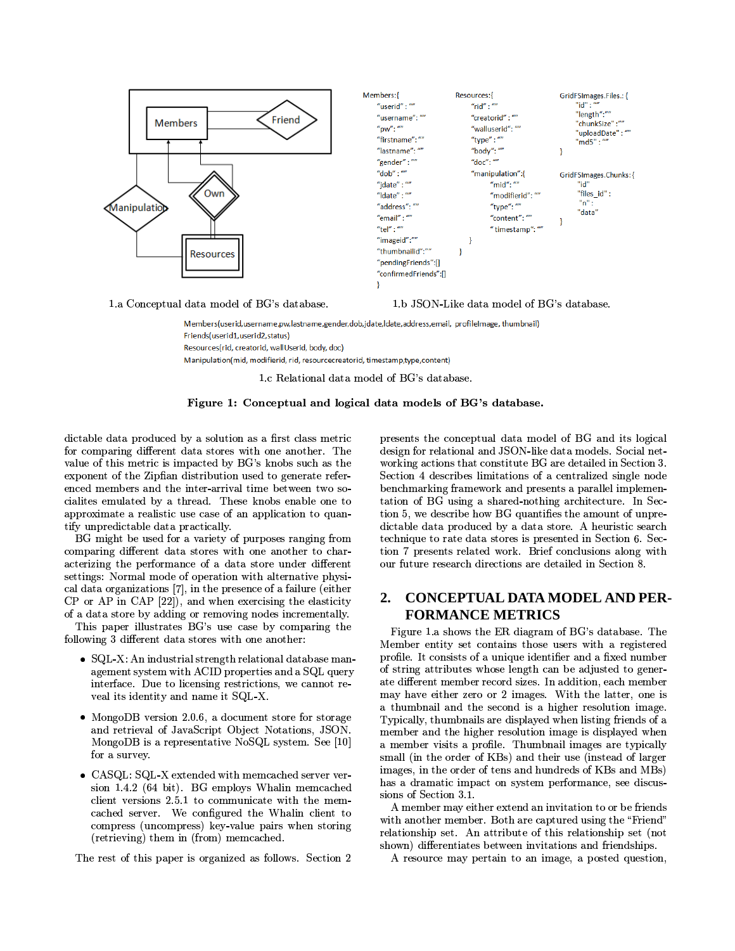

1.a Conceptual data model of BG's database.

1.b JSON-Like data model of BG's database.

Members(userid, username, pw, lastname, gender, dob, jdate, ldate, address, email, profilelmage, thumbnail) Friends(userid1,userid2,status) Resources(rid. creatorid. wallUserid. body. doc) Manipulation(mid. modifierid, rid, resourcecreatorid, timestamp,type.content)

1.c Relational data model of BG's database.



dictable data produced by a solution as a first class metric for comparing different data stores with one another. The value of this metric is impacted by BG's knobs such as the exponent of the Zipfian distribution used to generate referenced members and the inter-arrival time between two socialites emulated by a thread. These knobs enable one to approximate a realistic use case of an application to quantify unpredictable data practically.

BG might be used for a variety of purposes ranging from comparing different data stores with one another to characterizing the performance of a data store under different settings: Normal mode of operation with alternative physical data organizations [7], in the presence of a failure (either  $CP$  or AP in CAP  $[22]$ , and when exercising the elasticity of a data store by adding or removing nodes incrementally.

This paper illustrates BG's use case by comparing the following 3 different data stores with one another:

- $\bullet$  SQL-X: An industrial strength relational database management system with ACID properties and a SQL query interface. Due to licensing restrictions, we cannot reveal its identity and name it SQL X.
- MongoDB version 2.0.6, a document store for storage and retrieval of JavaScript Object Notations, JSON. MongoDB is a representative NoSQL system. See [10] for a survey.
- CASQL: SQL-X extended with memcached server version 1.4.2 (64 bit). BG employs Whalin memcached client versions 2.5.1 to communicate with the memcached server. We configured the Whalin client to compress (uncompress) key-value pairs when storing (retrieving) them in (from) memcached.

The rest of this paper is organized as follows. Section 2

presents the conceptual data model of BG and its logical design for relational and JSON-like data models. Social networking actions that constitute BG are detailed in Section 3. Section 4 describes limitations of a centralized single node benchmarking framework and presents a parallel implementation of BG using a shared-nothing architecture. In Section 5, we describe how BG quantifies the amount of unpredictable data produced by a data store. A heuristic search technique to rate data stores is presented in Section 6. Section 7 presents related work. Brief conclusions along with our future research directions are detailed in Section 8.

### $2.$ **CONCEPTUAL DATA MODEL AND PER-FORMANCE METRICS**

Figure 1.a shows the ER diagram of BG's database. The Member entity set contains those users with a registered profile. It consists of a unique identifier and a fixed number of string attributes whose length can be adjusted to generate different member record sizes. In addition, each member may have either zero or 2 images. With the latter, one is a thumbnail and the second is a higher resolution image. Typically, thumbnails are displayed when listing friends of a member and the higher resolution image is displayed when a member visits a profile. Thumbnail images are typically small (in the order of KBs) and their use (instead of larger images, in the order of tens and hundreds of KBs and MBs) has a dramatic impact on system performance, see discussions of Section 3.1.

A member may either extend an invitation to or be friends with another member. Both are captured using the "Friend" relationship set. An attribute of this relationship set (not shown) differentiates between invitations and friendships.

A resource may pertain to an image, a posted question,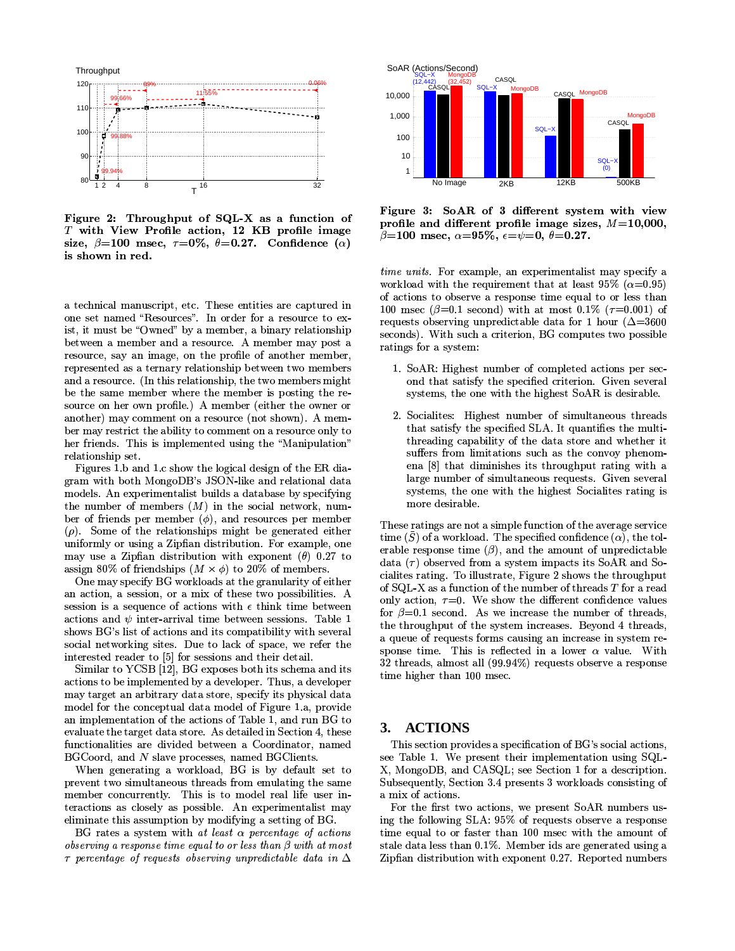

Figure 2: Throughput of SQL-X as a function of T with View Profile action, 12 KB profile image size,  $\beta=100$  msec,  $\tau=0\%$ ,  $\theta=0.27$ . Confidence (a) is shown in red.

a technical manuscript, etc. These entities are captured in one set named "Resources". In order for a resource to exist, it must be "Owned" by a member, a binary relationship between a member and a resource. A member may post a resource, say an image, on the profile of another member, represented as a ternary relationship between two members and a resource. (In this relationship, the two members might be the same member where the member is posting the resource on her own profile.) A member (either the owner or another) may comment on a resource (not shown). A member may restrict the ability to comment on a resource only to her friends. This is implemented using the "Manipulation" relationship set.

Figures 1.b and 1.c show the logical design of the ER diagram with both MongoDB's JSON-like and relational data models. An experimentalist builds a database by specifying the number of members  $(M)$  in the social network, number of friends per member  $(\phi)$ , and resources per member  $(\rho)$ . Some of the relationships might be generated either uniformly or using a Zipfian distribution. For example, one may use a Zipfian distribution with exponent ( $\theta$ ) 0.27 to assign 80% of friendships  $(M \times \phi)$  to 20% of members.

One may specify BG workloads at the granularity of either an action, a session, or a mix of these two possibilities. A session is a sequence of actions with  $\epsilon$  think time between actions and  $\psi$  inter-arrival time between sessions. Table 1 shows BG's list of actions and its compatibility with several social networking sites. Due to lack of space, we refer the interested reader to [5] for sessions and their detail.

Similar to YCSB [12], BG exposes both its schema and its actions to be implemented by a developer. Thus, a developer may target an arbitrary data store, specify its physical data model for the conceptual data model of Figure 1.a, provide an implementation of the actions of Table 1, and run BG to evaluate the target data store. As detailed in Section 4, these functionalities are divided between a Coordinator, named BGCoord, and N slave processes, named BGClients.

When generating a workload, BG is by default set to prevent two simultaneous threads from emulating the same member concurrently. This is to model real life user interactions as closely as possible. An experimentalist may eliminate this assumption by modifying a setting of BG.

BG rates a system with at least  $\alpha$  percentage of actions observing a response time equal to or less than  $\beta$  with at most  $\tau$  percentage of requests observing unpredictable data in  $\Delta$ 



Figure 3: SoAR of 3 different system with view profile and different profile image sizes,  $M=10,000$ ,  $\beta = 100$  msec,  $\alpha = 95\%$ ,  $\epsilon = \psi = 0$ ,  $\theta = 0.27$ .

time units. For example, an experimentalist may specify a workload with the requirement that at least 95% ( $\alpha$ =0.95) of actions to observe a response time equal to or less than 100 msec ( $\beta$ =0.1 second) with at most 0.1% ( $\tau$ =0.001) of requests observing unpredictable data for 1 hour ( $\Delta = 3600$ seconds). With such a criterion, BG computes two possible ratings for a system:

- 1. SoAR: Highest number of completed actions per second that satisfy the specified criterion. Given several systems, the one with the highest SoAR is desirable.
- 2. Socialities: Highest number of simultaneous threads that satisfy the specified SLA. It quantifies the multithreading capability of the data store and whether it suffers from limitations such as the convoy phenomena [8] that diminishes its throughput rating with a large number of simultaneous requests. Given several systems, the one with the highest Socialities rating is more desirable.

These ratings are not a simple function of the average service time (S) of a workload. The specified confidence  $(\alpha)$ , the tolerable response time  $(\beta)$ , and the amount of unpredictable data  $(\tau)$  observed from a system impacts its SoAR and Socialites rating. To illustrate, Figure 2 shows the throughput of SQL-X as a function of the number of threads  $T$  for a read only action,  $\tau=0$ . We show the different confidence values for  $\beta = 0.1$  second. As we increase the number of threads, the throughput of the system increases. Beyond 4 threads, a queue of requests forms causing an increase in system response time. This is reflected in a lower  $\alpha$  value. With 32 threads, almost all (99.94%) requests observe a response time higher than 100 msec.

### 3. ACTIONS

This section provides a specification of BG's social actions, see Table 1. We present their implementation using SQL-X, MongoDB, and CASQL; see Section 1 for a description. Subsequently, Section 3.4 presents 3 workloads consisting of a mix of actions.

For the first two actions, we present SoAR numbers using the following SLA: 95% of requests observe a response time equal to or faster than 100 msec with the amount of stale data less than 0.1%. Member ids are generated using a Zipfian distribution with exponent 0.27. Reported numbers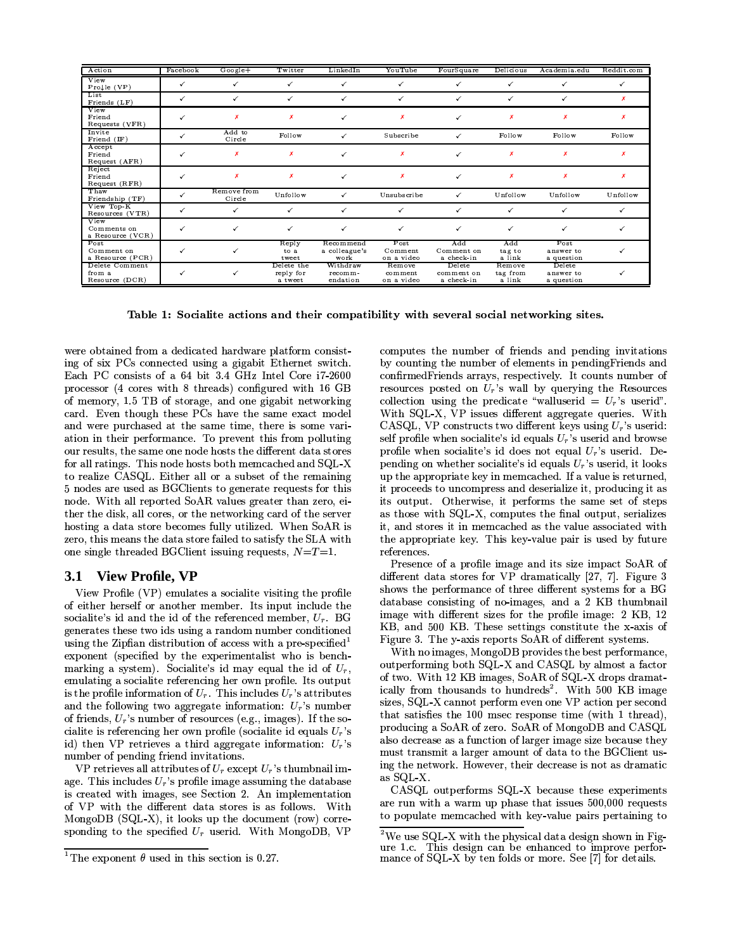| Action                                     | Facebook | $Google+$             | Twitter                            | LinkedIn                           | YouTube                         | FourSquare                         | Delicious                    | Academia.edu                      | Reddit.com |
|--------------------------------------------|----------|-----------------------|------------------------------------|------------------------------------|---------------------------------|------------------------------------|------------------------------|-----------------------------------|------------|
| View<br>Prolle (VP)                        |          |                       |                                    |                                    |                                 |                                    | $\checkmark$                 |                                   |            |
| List<br>Friends (LF)                       | ✓        | ✓                     | ✓                                  | ✓                                  | ✓                               | ✓                                  | ✓                            | ✓                                 | x          |
| View<br>Friend<br>Requests (VFR)           | ✓        | x                     | x                                  | ✓                                  | x                               | ✓                                  | x                            | x                                 | x          |
| Invite<br>Friend (IF)                      |          | Add to<br>Circle      | Follow                             | ✓                                  | Subscribe                       | ✓                                  | Follow                       | Follow                            | Follow     |
| Accept<br>Friend<br>Request (AFR)          | ✓        | x                     | x                                  | ✓                                  | x                               | $\checkmark$                       | x                            | x                                 |            |
| Reject<br>Friend<br>Request (RFR)          | ✓        | x                     | x                                  | $\checkmark$                       | x                               | $\checkmark$                       | Х                            | x                                 | x          |
| Thaw<br>Friendship (TF)                    |          | Remove from<br>Circle | Unfollow                           | ✓                                  | Unsubscribe                     | ✓                                  | Unfollow                     | Unfollow                          | Unfollow   |
| View Top-K<br>Resources (VTR)              |          | ✓                     |                                    |                                    |                                 | √                                  | √                            |                                   |            |
| View<br>Comments on<br>a Resource (VCR)    | ✓        | ✓                     | ✓                                  | ✓                                  | ✓                               | ✓                                  | ✓                            | ✓                                 |            |
| Post<br>Comment on<br>a Resource (PCR)     | ✓        | $\checkmark$          | Reply<br>to a<br>tweet             | Recommend<br>a colleague's<br>work | Post<br>Comment<br>on a video   | Add<br>Comment on<br>a check-in    | Add<br>tag to<br>a link      | Post<br>answer to<br>a question   |            |
| Delete Comment<br>from a<br>Resource (DCR) |          |                       | Delete the<br>reply for<br>a tweet | Withdraw<br>recomm-<br>endation    | Remove<br>comment<br>on a video | Delete<br>comment on<br>a check-in | Remove<br>tag from<br>a link | Delete<br>answer to<br>a question |            |

Table 1: Socialite actions and their compatibility with several social networking sites.

were obtained from a dedicated hardware platform consisting of six PCs connected using a gigabit Ethernet switch. Each PC consists of a 64 bit 3.4 GHz Intel Core i7-2600 processor (4 cores with 8 threads) configured with 16 GB of memory, 1.5 TB of storage, and one gigabit networking card. Even though these PCs have the same exact model and were purchased at the same time, there is some variation in their performance. To prevent this from polluting our results, the same one node hosts the different data stores for all ratings. This node hosts both memcached and SQL-X to realize CASQL. Either all or a subset of the remaining 5 nodes are used as BGClients to generate requests for this node. With all reported SoAR values greater than zero, either the disk, all cores, or the networking card of the server hosting a data store becomes fully utilized. When SoAR is zero, this means the data store failed to satisfy the SLA with one single threaded BGClient issuing requests,  $N=T=1$ .

#### 3.1 **View Profile, VP**

View Profile (VP) emulates a socialite visiting the profile of either herself or another member. Its input include the socialite's id and the id of the referenced member,  $U_r$ . BG generates these two ids using a random number conditioned using the Zipfian distribution of access with a pre-specified<sup>1</sup> exponent (specified by the experimentalist who is benchmarking a system). Socialite's id may equal the id of  $U_r$ , emulating a socialite referencing her own profile. Its output is the profile information of  $U_r$ . This includes  $U_r$ 's attributes and the following two aggregate information:  $U_r$ 's number of friends,  $U_r$ 's number of resources (e.g., images). If the socialite is referencing her own profile (socialite id equals  $U_r$ 's id) then VP retrieves a third aggregate information:  $U_r$ 's number of pending friend invitations.

VP retrieves all attributes of  $U_r$  except  $U_r$ 's thumbnail image. This includes  $U_r$ 's profile image assuming the database is created with images, see Section 2. An implementation of VP with the different data stores is as follows. With MongoDB (SQL-X), it looks up the document (row) corresponding to the specified  $U_r$  userid. With MongoDB, VP

computes the number of friends and pending invitations by counting the number of elements in pending Friends and confirmedFriends arrays, respectively. It counts number of resources posted on  $U_r$ 's wall by querying the Resources collection using the predicate "walluserid =  $U_r$ 's userid". With SQL-X, VP issues different aggregate queries. With CASQL, VP constructs two different keys using  $U_r$ 's userid: self profile when socialite's id equals  $U_r$ 's userid and browse profile when socialite's id does not equal  $U_r$ 's userid. Depending on whether socialite's id equals  $U_r$ 's userid, it looks up the appropriate key in memcached. If a value is returned, it proceeds to uncompress and deserialize it, producing it as its output. Otherwise, it performs the same set of steps as those with SQL-X, computes the final output, serializes it, and stores it in memcached as the value associated with the appropriate key. This key-value pair is used by future references.

Presence of a profile image and its size impact SoAR of different data stores for VP dramatically [27, 7]. Figure 3 shows the performance of three different systems for a BG database consisting of no-images, and a 2 KB thumbnail image with different sizes for the profile image: 2 KB, 12 KB, and 500 KB. These settings constitute the x-axis of Figure 3. The y-axis reports SoAR of different systems.

With no images, MongoDB provides the best performance. outperforming both SQL-X and CASQL by almost a factor of two. With 12 KB images, SoAR of SQL-X drops dramatically from thousands to hundreds<sup>2</sup>. With 500 KB image sizes, SQL-X cannot perform even one VP action per second that satisfies the 100 msec response time (with 1 thread), producing a SoAR of zero. SoAR of MongoDB and CASQL also decrease as a function of larger image size because they must transmit a larger amount of data to the BGClient using the network. However, their decrease is not as dramatic as SOL X.

CASQL outperforms SQL-X because these experiments are run with a warm up phase that issues 500,000 requests to populate memcached with key-value pairs pertaining to

<sup>&</sup>lt;sup>1</sup>The exponent  $\theta$  used in this section is 0.27.

<sup>&</sup>lt;sup>2</sup>We use SQL-X with the physical data design shown in Figure 1.c. This design can be enhanced to improve performance of SQL-X by ten folds or more. See [7] for details.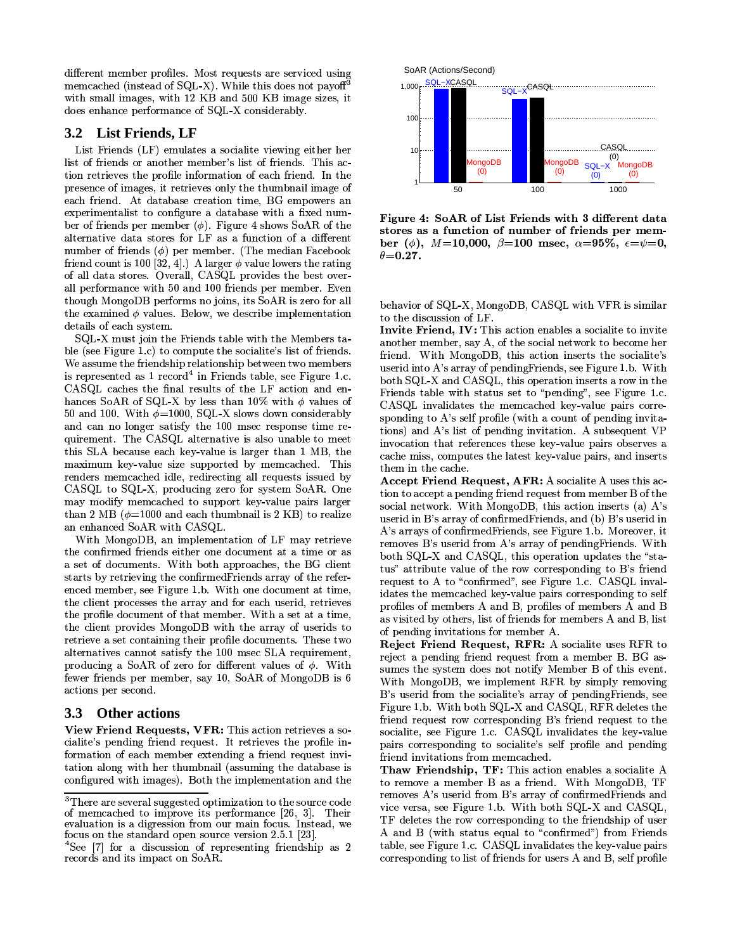different member profiles. Most requests are serviced using memcached (instead of SQL-X). While this does not payoff<sup>3</sup> with small images, with 12 KB and 500 KB image sizes, it does enhance performance of SQL-X considerably.

#### **List Friends, LF**  $3.2$

List Friends (LF) emulates a socialite viewing either her list of friends or another member's list of friends. This action retrieves the profile information of each friend. In the presence of images, it retrieves only the thumbnail image of each friend. At database creation time. BG empowers an experimentalist to configure a database with a fixed number of friends per member  $(\phi)$ . Figure 4 shows SoAR of the alternative data stores for LF as a function of a different number of friends  $(\phi)$  per member. (The median Facebook friend count is 100 [32, 4].) A larger  $\phi$  value lowers the rating of all data stores. Overall, CASQL provides the best overall performance with 50 and 100 friends per member. Even though MongoDB performs no joins, its SoAR is zero for all the examined  $\phi$  values. Below, we describe implementation details of each system.

SQL-X must join the Friends table with the Members table (see Figure 1.c) to compute the socialite's list of friends. We assume the friendship relationship between two members is represented as  $1 \text{ record}^4$  in Friends table, see Figure 1.c. CASQL caches the final results of the LF action and enhances SoAR of SQL-X by less than 10% with  $\phi$  values of 50 and 100. With  $\phi$ =1000, SQL-X slows down considerably and can no longer satisfy the 100 msec response time requirement. The CASQL alternative is also unable to meet this SLA because each key-value is larger than 1 MB, the maximum key-value size supported by memcached. This renders memcached idle, redirecting all requests issued by CASQL to SQL-X, producing zero for system SoAR. One may modify memcached to support key-value pairs larger than 2 MB ( $\phi$ =1000 and each thumbnail is 2 KB) to realize an enhanced SoAR with CASQL.

With MongoDB, an implementation of LF may retrieve the confirmed friends either one document at a time or as a set of documents. With both approaches, the BG client starts by retrieving the confirmed Friends array of the referenced member, see Figure 1.b. With one document at time, the client processes the array and for each userid, retrieves the profile document of that member. With a set at a time, the client provides MongoDB with the array of userids to retrieve a set containing their profile documents. These two alternatives cannot satisfy the 100 msec SLA requirement, producing a SoAR of zero for different values of  $\phi$ . With fewer friends per member, say 10, SoAR of MongoDB is 6 actions per second.

#### **Other actions**  $3.3$

View Friend Requests, VFR: This action retrieves a socialite's pending friend request. It retrieves the profile information of each member extending a friend request invitation along with her thumbnail (assuming the database is configured with images). Both the implementation and the



Figure 4: SoAR of List Friends with 3 different data stores as a function of number of friends per member ( $\phi$ ), M=10,000,  $\beta$ =100 msec,  $\alpha$ =95%,  $\epsilon = \psi = 0$ ,  $\theta = 0.27$ .

behavior of SQL-X, MongoDB, CASQL with VFR is similar to the discussion of LF.

Invite Friend, IV: This action enables a socialite to invite another member, say A, of the social network to become her friend. With MongoDB, this action inserts the socialite's userid into A's array of pending Friends, see Figure 1.b. With both SQL-X and CASQL, this operation inserts a row in the Friends table with status set to "pending", see Figure 1.c. CASQL invalidates the memcached key-value pairs corresponding to A's self profile (with a count of pending invitations) and A's list of pending invitation. A subsequent VP invocation that references these key-value pairs observes a cache miss, computes the latest key-value pairs, and inserts them in the cache.

Accept Friend Request, AFR: A socialite A uses this action to accept a pending friend request from member B of the social network. With MongoDB, this action inserts (a) A's userid in B's array of confirmed Friends, and (b) B's userid in A's arrays of confirmed Friends, see Figure 1.b. Moreover, it removes B's userid from A's array of pending Friends. With both SQL-X and CASQL, this operation updates the "status" attribute value of the row corresponding to B's friend request to A to "confirmed", see Figure 1.c. CASQL invalidates the memcached key-value pairs corresponding to self profiles of members A and B, profiles of members A and B as visited by others, list of friends for members A and B, list of pending invitations for member A.

Reject Friend Request, RFR: A socialite uses RFR to reject a pending friend request from a member B. BG assumes the system does not notify Member B of this event. With MongoDB, we implement RFR by simply removing B's userid from the socialite's array of pending Friends, see Figure 1.b. With both SQL-X and CASQL, RFR deletes the friend request row corresponding B's friend request to the socialite, see Figure 1.c. CASQL invalidates the key-value pairs corresponding to socialite's self profile and pending friend invitations from memcached.

Thaw Friendship, TF: This action enables a socialite A to remove a member B as a friend. With MongoDB, TF removes A's userid from B's array of confirmed Friends and vice versa, see Figure 1.b. With both SQL-X and CASQL, TF deletes the row corresponding to the friendship of user A and B (with status equal to "confirmed") from Friends table, see Figure 1.c. CASQL invalidates the key-value pairs corresponding to list of friends for users A and B, self profile

<sup>&</sup>lt;sup>3</sup>There are several suggested optimization to the source code of memcached to improve its performance [26, 3]. Their evaluation is a digression from our main focus. Instead, we focus on the standard open source version 2.5.1 [23]

<sup>&</sup>lt;sup>4</sup>See [7] for a discussion of representing friendship as 2 records and its impact on SoAR.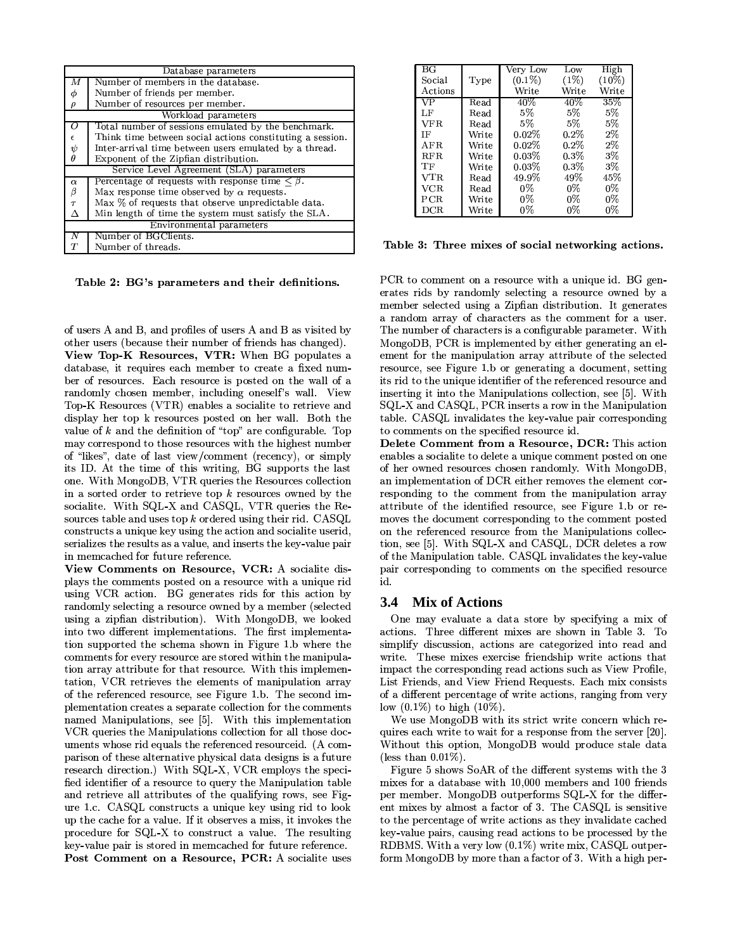|                          | Database parameters                                       |  |  |  |  |
|--------------------------|-----------------------------------------------------------|--|--|--|--|
| М                        | Number of members in the database.                        |  |  |  |  |
| φ                        | Number of friends per member.                             |  |  |  |  |
| D                        | Number of resources per member.                           |  |  |  |  |
|                          | Workload parameters                                       |  |  |  |  |
| Ο                        | Total number of sessions emulated by the benchmark.       |  |  |  |  |
| $\epsilon$               | Think time between social actions constituting a session. |  |  |  |  |
| $\psi$                   | Inter-arrival time between users emulated by a thread.    |  |  |  |  |
| θ                        | Exponent of the Zipfian distribution.                     |  |  |  |  |
|                          | Service Level Agreement (SLA) parameters                  |  |  |  |  |
| $\alpha$                 | Percentage of requests with response time $\leq \beta$ .  |  |  |  |  |
| $\beta$                  | Max response time observed by $\alpha$ requests.          |  |  |  |  |
| $\tau$                   | Max % of requests that observe unpredictable data.        |  |  |  |  |
| Λ                        | Min length of time the system must satisfy the SLA.       |  |  |  |  |
| Environmental parameters |                                                           |  |  |  |  |
| N                        | Number of BGClients.                                      |  |  |  |  |
|                          | Number of threads.                                        |  |  |  |  |

Table 2: BG's parameters and their definitions.

of users A and B, and profiles of users A and B as visited by other users (because their number of friends has changed). View Top-K Resources, VTR: When BG populates a database, it requires each member to create a fixed number of resources. Each resource is posted on the wall of a randomly chosen member, including oneself's wall. View Top-K Resources (VTR) enables a socialite to retrieve and display her top k resources posted on her wall. Both the value of  $k$  and the definition of "top" are configurable. Top may correspond to those resources with the highest number of "likes", date of last view/comment (recency), or simply its ID. At the time of this writing, BG supports the last one. With MongoDB, VTR queries the Resources collection in a sorted order to retrieve top  $k$  resources owned by the socialite. With SQL-X and CASQL, VTR queries the Resources table and uses top  $k$  ordered using their rid. CASQL constructs a unique key using the action and socialite userid, serializes the results as a value, and inserts the key-value pair in memcached for future reference.

View Comments on Resource, VCR: A socialite displays the comments posted on a resource with a unique rid using VCR action. BG generates rids for this action by randomly selecting a resource owned by a member (selected using a zipfian distribution). With MongoDB, we looked into two different implementations. The first implementation supported the schema shown in Figure 1.b where the comments for every resource are stored within the manipulation array attribute for that resource. With this implementation, VCR retrieves the elements of manipulation array of the referenced resource, see Figure 1.b. The second implementation creates a separate collection for the comments named Manipulations, see [5]. With this implementation VCR queries the Manipulations collection for all those documents whose rid equals the referenced resourceid. (A comparison of these alternative physical data designs is a future research direction.) With SQL-X, VCR employs the specified identifier of a resource to query the Manipulation table and retrieve all attributes of the qualifying rows, see Figure 1.c. CASQL constructs a unique key using rid to look up the cache for a value. If it observes a miss, it invokes the procedure for SQL-X to construct a value. The resulting key-value pair is stored in memcached for future reference. Post Comment on a Resource, PCR: A socialite uses

| ВG      |       | Very Low  | Low     | High     |
|---------|-------|-----------|---------|----------|
| Social  | Type  | $(0.1\%)$ | (1%)    | $(10\%)$ |
| Actions |       | Write     | Write   | Write    |
| VP      | Read  | 40%       | $40\%$  | 35%      |
| LF      | Read  | 5%        | 5%      | 5%       |
| VFR.    | Read  | 5%        | 5%      | 5%       |
| ΙF      | Write | $0.02\%$  | $0.2\%$ | $2\%$    |
| AFR.    | Write | $0.02\%$  | 0.2%    | $2\%$    |
| RFR.    | Write | 0.03%     | $0.3\%$ | 3%       |
| TЕ      | Write | 0.03%     | $0.3\%$ | 3%       |
| VTR.    | Read  | 49.9%     | 49\%    | 45%      |
| VCR.    | Read  | 0%        | $0\%$   | 0%       |
| PCR.    | Write | 0%        | 0%      | 0%       |
| DCR.    | Write | 0%        | 0%      | 0%       |

Table 3: Three mixes of social networking actions.

PCR to comment on a resource with a unique id. BG generates rids by randomly selecting a resource owned by a member selected using a Zipfian distribution. It generates a random array of characters as the comment for a user. The number of characters is a configurable parameter. With MongoDB, PCR is implemented by either generating an element for the manipulation array attribute of the selected resource, see Figure 1.b or generating a document, setting its rid to the unique identifier of the referenced resource and inserting it into the Manipulations collection, see [5]. With SQL-X and CASQL. PCR inserts a row in the Manipulation table. CASQL invalidates the key-value pair corresponding to comments on the specified resource id.

Delete Comment from a Resource, DCR: This action enables a socialite to delete a unique comment posted on one of her owned resources chosen randomly. With MongoDB, an implementation of DCR either removes the element corresponding to the comment from the manipulation array attribute of the identified resource, see Figure 1.b or removes the document corresponding to the comment posted on the referenced resource from the Manipulations collection, see [5]. With SQL X and CASQL, DCR deletes a row of the Manipulation table. CASQL invalidates the key-value pair corresponding to comments on the specified resource id.

### 3.4 Mix of Actions

One may evaluate a data store by specifying a mix of actions. Three different mixes are shown in Table 3. To simplify discussion, actions are categorized into read and write. These mixes exercise friendship write actions that impact the corresponding read actions such as View Profile. List Friends, and View Friend Requests. Each mix consists of a different percentage of write actions, ranging from very low  $(0.1\%)$  to high  $(10\%)$ .

We use MongoDB with its strict write concern which requires each write to wait for a response from the server [20]. Without this option, MongoDB would produce stale data (less than  $0.01\%$ ).

Figure 5 shows SoAR of the different systems with the 3 mixes for a database with 10,000 members and 100 friends per member. MongoDB outperforms SQL-X for the different mixes by almost a factor of 3. The CASQL is sensitive to the percentage of write actions as they invalidate cached key-value pairs, causing read actions to be processed by the RDBMS. With a very low (0.1%) write mix, CASQL outperform MongoDB by more than a factor of 3. With a high per-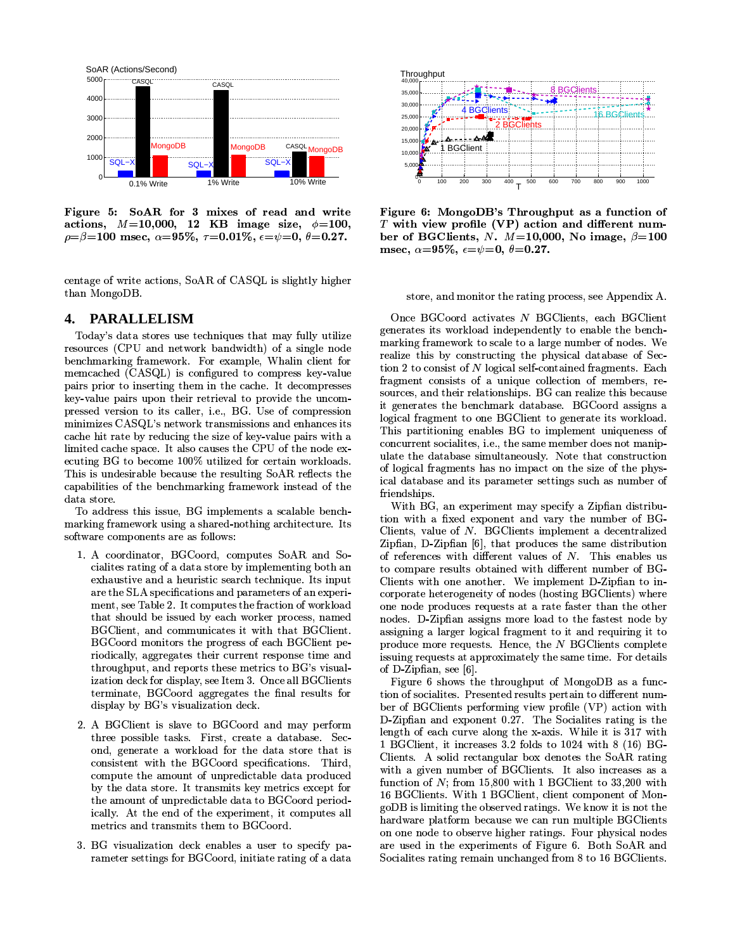

Figure 5: SoAR for 3 mixes of read and write actions,  $M=10,000$ , 12 KB image size,  $\phi=100$ ,  $\rho = \beta = 100$  msec,  $\alpha = 95\%$ ,  $\tau = 0.01\%$ ,  $\epsilon = \psi = 0$ ,  $\theta = 0.27$ .

centage of write actions, SoAR of CASQL is slightly higher than MongoDB.

#### **PARALLELISM** 4.

Today's data stores use techniques that may fully utilize resources (CPU and network bandwidth) of a single node benchmarking framework. For example, Whalin client for memcached (CASQL) is configured to compress key-value pairs prior to inserting them in the cache. It decompresses key-value pairs upon their retrieval to provide the uncompressed version to its caller, i.e., BG. Use of compression minimizes CASQL's network transmissions and enhances its cache hit rate by reducing the size of key-value pairs with a limited cache space. It also causes the CPU of the node executing BG to become 100% utilized for certain workloads. This is undesirable because the resulting SoAR reflects the capabilities of the benchmarking framework instead of the data store

To address this issue, BG implements a scalable benchmarking framework using a shared-nothing architecture. Its software components are as follows:

- 1. A coordinator, BGCoord, computes SoAR and Socialites rating of a data store by implementing both an exhaustive and a heuristic search technique. Its input are the SLA specifications and parameters of an experiment, see Table 2. It computes the fraction of workload that should be issued by each worker process, named BGClient, and communicates it with that BGClient. BGCoord monitors the progress of each BGClient periodically, aggregates their current response time and throughput, and reports these metrics to BG's visualization deck for display, see Item 3. Once all BGClients terminate, BGCoord aggregates the final results for display by BG's visualization deck.
- 2. A BGClient is slave to BGCoord and may perform three possible tasks. First, create a database. Second, generate a workload for the data store that is consistent with the BGCoord specifications. Third, compute the amount of unpredictable data produced by the data store. It transmits key metrics except for the amount of unpredictable data to BGCoord periodically. At the end of the experiment, it computes all metrics and transmits them to BGCoord.
- 3. BG visualization deck enables a user to specify parameter settings for BGCoord, initiate rating of a data



Figure 6: MongoDB's Throughput as a function of  $T$  with view profile (VP) action and different number of BGClients, N.  $M=10,000$ , No image,  $\beta=100$ msec,  $\alpha = 95\%$ ,  $\epsilon = \psi = 0$ ,  $\theta = 0.27$ .

store, and monitor the rating process, see Appendix A.

Once BGCoord activates N BGClients, each BGClient generates its workload independently to enable the benchmarking framework to scale to a large number of nodes. We realize this by constructing the physical database of Section 2 to consist of  $N$  logical self-contained fragments. Each fragment consists of a unique collection of members, resources, and their relationships. BG can realize this because it generates the benchmark database. BGCoord assigns a logical fragment to one BGClient to generate its workload. This partitioning enables BG to implement uniqueness of concurrent socialites, i.e., the same member does not manipulate the database simultaneously. Note that construction of logical fragments has no impact on the size of the physical database and its parameter settings such as number of friendships.

With BG, an experiment may specify a Zipfian distribution with a fixed exponent and vary the number of BG-Clients, value of N. BGClients implement a decentralized Zipfian, D-Zipfian [6], that produces the same distribution of references with different values of  $N$ . This enables us to compare results obtained with different number of BG-Clients with one another. We implement D-Zipfian to incorporate heterogeneity of nodes (hosting BGClients) where one node produces requests at a rate faster than the other nodes. D-Zipfian assigns more load to the fastest node by assigning a larger logical fragment to it and requiring it to produce more requests. Hence, the N BGClients complete issuing requests at approximately the same time. For details of D-Zipfian, see [6].

Figure 6 shows the throughput of MongoDB as a function of socialites. Presented results pertain to different number of BGClients performing view profile (VP) action with D-Zipfian and exponent 0.27. The Socialites rating is the length of each curve along the x-axis. While it is 317 with 1 BGClient, it increases 3.2 folds to 1024 with 8 (16) BG-Clients. A solid rectangular box denotes the SoAR rating with a given number of BGClients. It also increases as a function of  $N$ ; from 15,800 with 1 BGC lient to 33,200 with 16 BGClients. With 1 BGClient, client component of MongoDB is limiting the observed ratings. We know it is not the hardware platform because we can run multiple BGClients on one node to observe higher ratings. Four physical nodes are used in the experiments of Figure 6. Both SoAR and Socialities rating remain unchanged from 8 to 16 BGClients.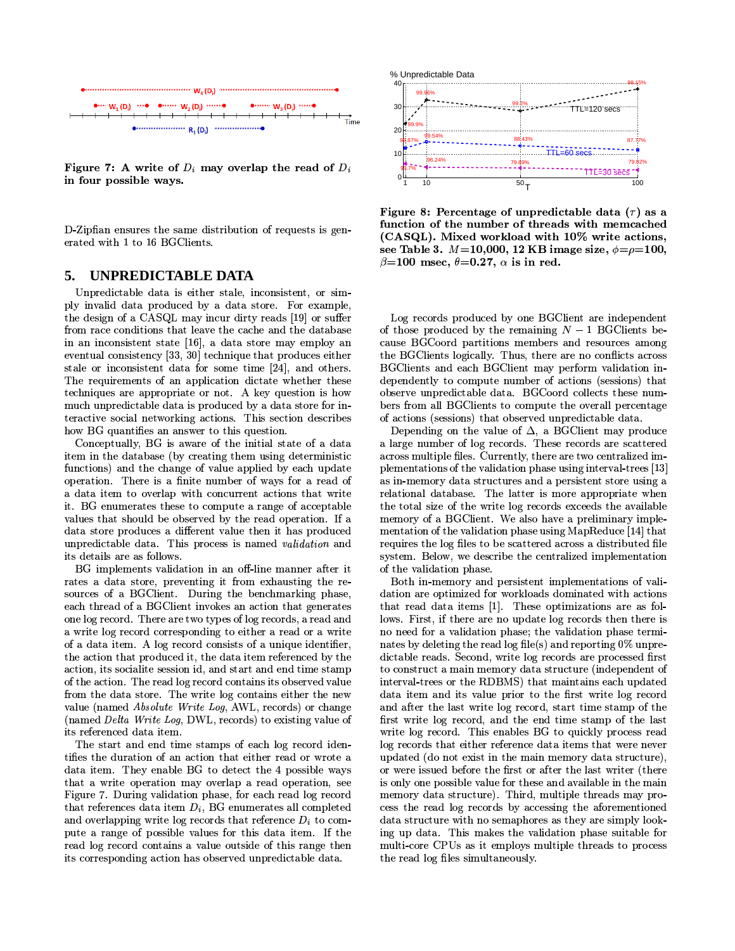

Figure 7: A write of  $D_i$  may overlap the read of  $D_i$ in four possible ways.

D-Zipfian ensures the same distribution of requests is generated with 1 to 16 BGClients.

#### UNPREDICTABLE DATA 5.

Unpredictable data is either stale, inconsistent, or simply invalid data produced by a data store. For example, the design of a CASQL may incur dirty reads [19] or suffer from race conditions that leave the cache and the database in an inconsistent state [16], a data store may employ an eventual consistency [33, 30] technique that produces either stale or inconsistent data for some time [24], and others. The requirements of an application dictate whether these techniques are appropriate or not. A key question is how much unpredictable data is produced by a data store for interactive social networking actions. This section describes how BG quantifies an answer to this question.

Conceptually, BG is aware of the initial state of a data item in the database (by creating them using deterministic functions) and the change of value applied by each update operation. There is a finite number of ways for a read of a data item to overlap with concurrent actions that write it. BG enumerates these to compute a range of acceptable values that should be observed by the read operation. If a data store produces a different value then it has produced unpredictable data. This process is named validation and its details are as follows.

BG implements validation in an off-line manner after it rates a data store, preventing it from exhausting the resources of a BGClient. During the benchmarking phase, each thread of a BGClient invokes an action that generates one log record. There are two types of log records, a read and a write log record corresponding to either a read or a write of a data item. A log record consists of a unique identifier, the action that produced it, the data item referenced by the action, its socialite session id, and start and end time stamp of the action. The read log record contains its observed value from the data store. The write log contains either the new value (named Absolute Write Log, AWL, records) or change (named Delta Write Log, DWL, records) to existing value of its referenced data item.

The start and end time stamps of each log record identifies the duration of an action that either read or wrote a data item. They enable BG to detect the 4 possible ways that a write operation may overlap a read operation, see Figure 7. During validation phase, for each read log record that references data item  $D_i$ , BG enumerates all completed and overlapping write log records that reference  $D_i$  to compute a range of possible values for this data item. If the read log record contains a value outside of this range then its corresponding action has observed unpredictable data.



Figure 8: Percentage of unpredictable data  $(\tau)$  as a function of the number of threads with memcached (CASQL). Mixed workload with 10% write actions, see Table 3.  $M=10,000, 12$  KB image size,  $\phi = \rho = 100$ ,  $\beta=100$  msec,  $\theta=0.27$ ,  $\alpha$  is in red.

Log records produced by one BGClient are independent of those produced by the remaining  $N-1$  BGClients because BGCoord partitions members and resources among the BGClients logically. Thus, there are no conflicts across BGClients and each BGClient may perform validation independently to compute number of actions (sessions) that observe unpredictable data. BGCoord collects these numbers from all BGClients to compute the overall percentage of actions (sessions) that observed unpredictable data.

Depending on the value of  $\Delta$ , a BGClient may produce a large number of log records. These records are scattered across multiple files. Currently, there are two centralized implementations of the validation phase using interval-trees [13] as in-memory data structures and a persistent store using a relational database. The latter is more appropriate when the total size of the write log records exceeds the available memory of a BGClient. We also have a preliminary implementation of the validation phase using MapReduce [14] that requires the log files to be scattered across a distributed file system. Below, we describe the centralized implementation of the validation phase.

Both in-memory and persistent implementations of validation are optimized for workloads dominated with actions that read data items [1]. These optimizations are as follows. First, if there are no update log records then there is no need for a validation phase; the validation phase terminates by deleting the read log file(s) and reporting 0% unpredictable reads. Second, write log records are processed first to construct a main memory data structure (independent of interval-trees or the RDBMS) that maintains each updated data item and its value prior to the first write log record and after the last write log record, start time stamp of the first write log record, and the end time stamp of the last write log record. This enables BG to quickly process read log records that either reference data items that were never updated (do not exist in the main memory data structure), or were issued before the first or after the last writer (there is only one possible value for these and available in the main memory data structure). Third, multiple threads may process the read log records by accessing the aforementioned data structure with no semaphores as they are simply looking up data. This makes the validation phase suitable for multi-core CPUs as it employs multiple threads to process the read log files simultaneously.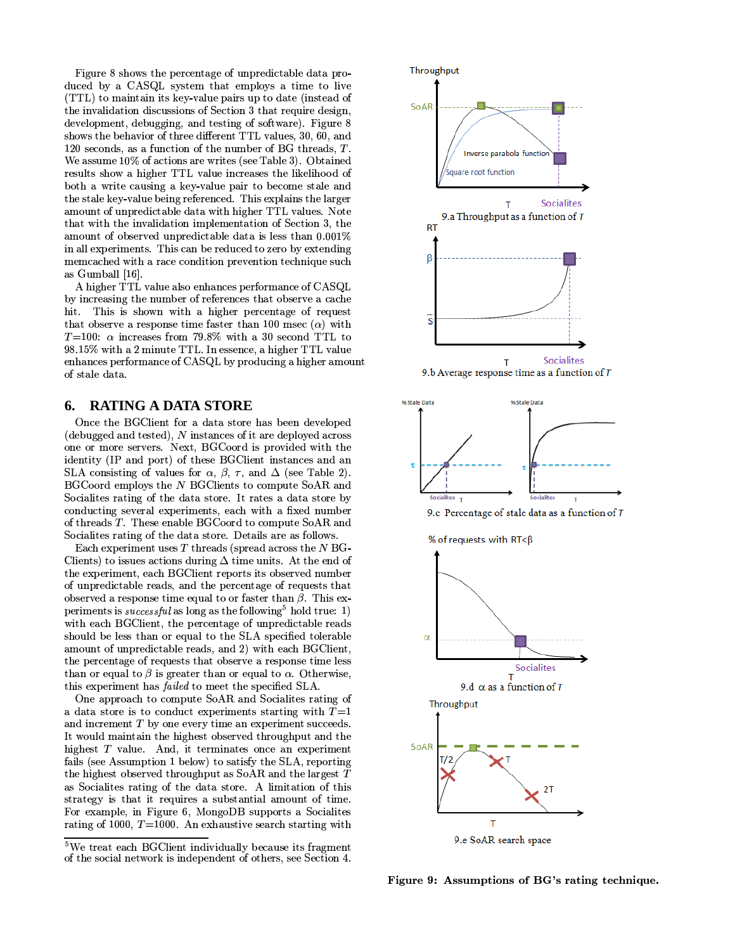Figure 8 shows the percentage of unpredictable data produced by a CASQL system that employs a time to live (TTL) to maintain its key-value pairs up to date (instead of the invalidation discussions of Section 3 that require design. development, debugging, and testing of software). Figure 8 shows the behavior of three different TTL values, 30, 60, and 120 seconds, as a function of the number of BG threads,  $T$ . We assume 10% of actions are writes (see Table 3). Obtained results show a higher TTL value increases the likelihood of both a write causing a key-value pair to become stale and the stale key-value being referenced. This explains the larger amount of unpredictable data with higher TTL values. Note that with the invalidation implementation of Section 3, the amount of observed unpredictable data is less than 0.001% in all experiments. This can be reduced to zero by extending memcached with a race condition prevention technique such as Gumball [16].

A higher TTL value also enhances performance of CASQL by increasing the number of references that observe a cache hit. This is shown with a higher percentage of request that observe a response time faster than 100 msec  $(\alpha)$  with T=100:  $\alpha$  increases from 79.8% with a 30 second TTL to 98.15% with a 2 minute TTL. In essence, a higher TTL value enhances performance of CASQL by producing a higher amount of stale data.

#### **RATING A DATA STORE** 6.

Once the BGClient for a data store has been developed (debugged and tested),  $N$  instances of it are deployed across one or more servers. Next, BGCoord is provided with the identity (IP and port) of these BGClient instances and an SLA consisting of values for  $\alpha$ ,  $\beta$ ,  $\tau$ , and  $\Delta$  (see Table 2). BGCoord employs the N BGClients to compute SoAR and Socialities rating of the data store. It rates a data store by conducting several experiments, each with a fixed number of threads T. These enable BGCoord to compute SoAR and Socialites rating of the data store. Details are as follows.

Each experiment uses  $T$  threads (spread across the  $N$  BG-Clients) to issues actions during  $\Delta$  time units. At the end of the experiment, each BGClient reports its observed number of unpredictable reads, and the percentage of requests that observed a response time equal to or faster than  $\beta$ . This experiments is successful as long as the following<sup>3</sup> hold true: 1) with each BGClient, the percentage of unpredictable reads should be less than or equal to the SLA specified tolerable amount of unpredictable reads, and 2) with each BGClient, the percentage of requests that observe a response time less than or equal to  $\beta$  is greater than or equal to  $\alpha$ . Otherwise, this experiment has *failed* to meet the specified SLA.

One approach to compute SoAR and Socialites rating of a data store is to conduct experiments starting with  $T=1$ and increment  $T$  by one every time an experiment succeeds. It would maintain the highest observed throughput and the highest T value. And, it terminates once an experiment fails (see Assumption 1 below) to satisfy the SLA, reporting the highest observed throughput as SoAR and the largest  $T$ as Socialites rating of the data store. A limitation of this strategy is that it requires a substantial amount of time. For example, in Figure 6, MongoDB supports a Socialities rating of 1000,  $T=1000$ . An exhaustive search starting with

<sup>&</sup>lt;sup>5</sup>We treat each BGClient individually because its fragment of the social network is independent of others, see Section 4.



Figure 9: Assumptions of BG's rating technique.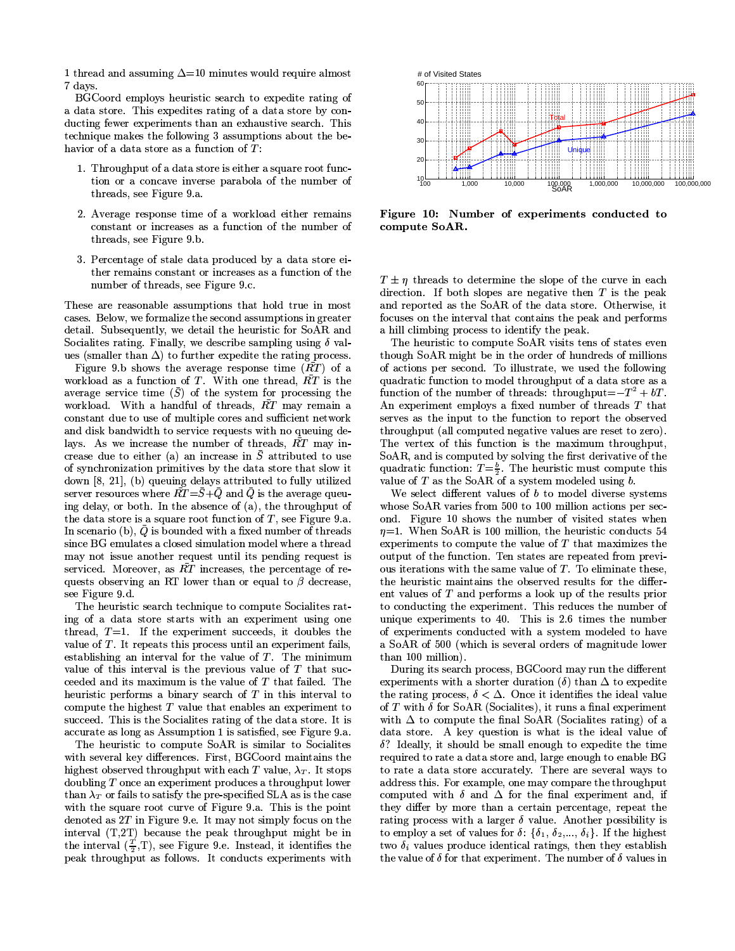1 thread and assuming  $\Delta = 10$  minutes would require almost 7 days.

BGCoord employs heuristic search to expedite rating of a data store. This expedites rating of a data store by conducting fewer experiments than an exhaustive search. This technique makes the following 3 assumptions about the behavior of a data store as a function of  $T$ :

- 1. Throughput of a data store is either a square root function or a concave inverse parabola of the number of threads, see Figure 9.a.
- 2. Average response time of a workload either remains constant or increases as a function of the number of threads, see Figure 9.b.
- 3. Percentage of stale data produced by a data store either remains constant or increases as a function of the number of threads, see Figure 9.c.

These are reasonable assumptions that hold true in most cases. Below, we formalize the second assumptions in greater detail. Subsequently, we detail the heuristic for SoAR and Socialities rating. Finally, we describe sampling using  $\delta$  values (smaller than  $\Delta$ ) to further expedite the rating process.

Figure 9.b shows the average response time  $(R\bar{T})$  of a workload as a function of T. With one thread,  $\overline{RT}$  is the average service time  $(\bar{S})$  of the system for processing the workload. With a handful of threads,  $\overline{RT}$  may remain a constant due to use of multiple cores and sufficient network and disk bandwidth to service requests with no queuing delays. As we increase the number of threads,  $\overline{RT}$  may increase due to either (a) an increase in  $\overline{S}$  attributed to use of synchronization primitives by the data store that slow it down [8, 21], (b) queuing delays attributed to fully utilized server resources where  $\overline{RT} = \overline{S} + \overline{Q}$  and  $\overline{Q}$  is the average queuing delay, or both. In the absence of (a), the throughput of the data store is a square root function of  $T$ , see Figure 9.a. In scenario (b),  $Q$  is bounded with a fixed number of threads since BG emulates a closed simulation model where a thread may not issue another request until its pending request is serviced. Moreover, as  $\overline{RT}$  increases, the percentage of requests observing an RT lower than or equal to  $\beta$  decrease, see Figure 9.d.

The heuristic search technique to compute Socialites rating of a data store starts with an experiment using one thread,  $T=1$ . If the experiment succeeds, it doubles the value of  $T$ . It repeats this process until an experiment fails, establishing an interval for the value of  $T$ . The minimum value of this interval is the previous value of  $T$  that succeeded and its maximum is the value of  $T$  that failed. The heuristic performs a binary search of  $T$  in this interval to compute the highest  $T$  value that enables an experiment to succeed. This is the Socialites rating of the data store. It is accurate as long as Assumption 1 is satisfied, see Figure 9.a.

The heuristic to compute SoAR is similar to Socialites with several key differences. First, BGCoord maintains the highest observed throughput with each T value,  $\lambda_T$ . It stops doubling  $T$  once an experiment produces a throughput lower than  $\lambda_T$  or fails to satisfy the pre-specified SLA as is the case with the square root curve of Figure 9.a. This is the point denoted as  $2T$  in Figure 9.e. It may not simply focus on the interval  $(T,2T)$  because the peak throughput might be in the interval  $(\frac{T}{2},T)$ , see Figure 9.e. Instead, it identifies the peak throughput as follows. It conducts experiments with



Figure 10: Number of experiments conducted to compute SoAR.

 $T \pm \eta$  threads to determine the slope of the curve in each direction. If both slopes are negative then  $T$  is the peak and reported as the SoAR of the data store. Otherwise, it focuses on the interval that contains the peak and performs a hill climbing process to identify the peak.

The heuristic to compute SoAR visits tens of states even though SoAR might be in the order of hundreds of millions of actions per second. To illustrate, we used the following quadratic function to model throughput of a data store as a function of the number of threads: throughput= $-T^2 + bT$ . An experiment employs a fixed number of threads T that serves as the input to the function to report the observed throughput (all computed negative values are reset to zero). The vertex of this function is the maximum throughput, SoAR, and is computed by solving the first derivative of the quadratic function:  $T=\frac{b}{2}$ . The heuristic must compute this value of  $T$  as the SoAR of a system modeled using  $b$ .

We select different values of  $b$  to model diverse systems whose SoAR varies from 500 to 100 million actions per second. Figure 10 shows the number of visited states when  $\eta$ =1. When SoAR is 100 million, the heuristic conducts 54 experiments to compute the value of  $T$  that maximizes the output of the function. Ten states are repeated from previous iterations with the same value of  $T$ . To eliminate these, the heuristic maintains the observed results for the different values of  $T$  and performs a look up of the results prior to conducting the experiment. This reduces the number of unique experiments to 40. This is 2.6 times the number of experiments conducted with a system modeled to have a SoAR of 500 (which is several orders of magnitude lower  $than 100 million)$ .

During its search process, BGCoord may run the different experiments with a shorter duration  $(\delta)$  than  $\Delta$  to expedite the rating process,  $\delta < \Delta$ . Once it identifies the ideal value of T with  $\delta$  for SoAR (Socialities), it runs a final experiment with  $\Delta$  to compute the final SoAR (Socialities rating) of a data store. A key question is what is the ideal value of  $\delta$ ? Ideally, it should be small enough to expedite the time required to rate a data store and, large enough to enable BG to rate a data store accurately. There are several ways to address this. For example, one may compare the throughput computed with  $\delta$  and  $\Delta$  for the final experiment and, if they differ by more than a certain percentage, repeat the rating process with a larger  $\delta$  value. Another possibility is to employ a set of values for  $\delta$ :  $\{\delta_1, \delta_2, ..., \delta_i\}$ . If the highest two  $\delta_i$  values produce identical ratings, then they establish the value of  $\delta$  for that experiment. The number of  $\delta$  values in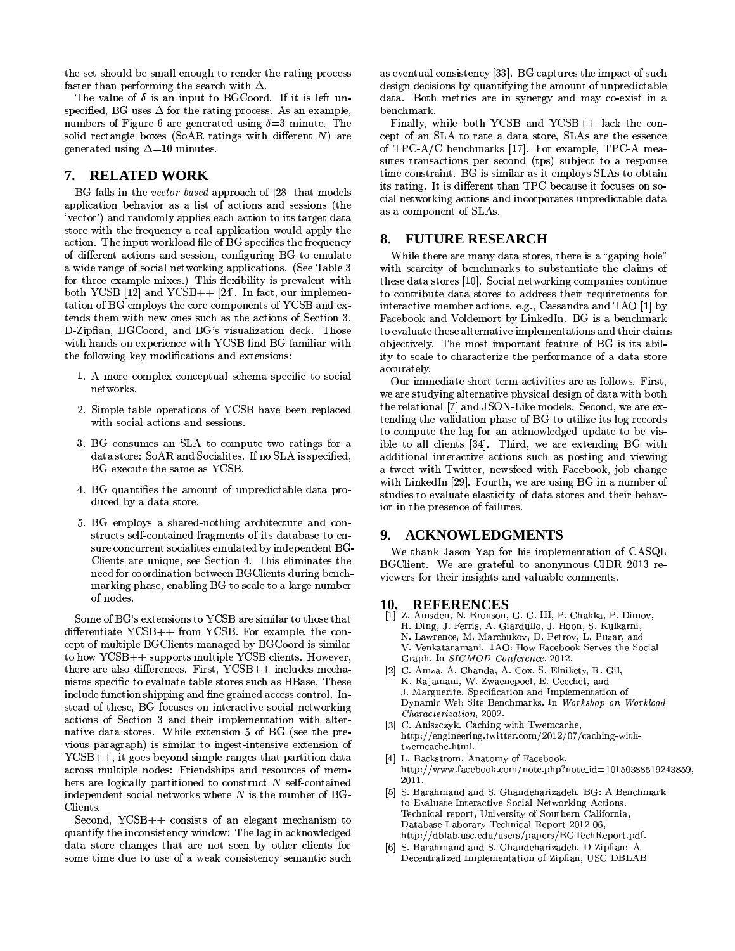the set should be small enough to render the rating process faster than performing the search with  $\Delta$ .

The value of  $\delta$  is an input to BGCoord. If it is left unspecified, BG uses  $\Delta$  for the rating process. As an example, numbers of Figure 6 are generated using  $\delta = 3$  minute. The solid rectangle boxes (SoAR ratings with different  $N$ ) are generated using  $\Delta=10$  minutes.

### **RELATED WORK** 7.

BG falls in the vector based approach of [28] that models application behavior as a list of actions and sessions (the 'vector') and randomly applies each action to its target data store with the frequency a real application would apply the action. The input workload file of BG specifies the frequency of different actions and session, configuring BG to emulate a wide range of social networking applications. (See Table 3) for three example mixes.) This flexibility is prevalent with both YCSB  $[12]$  and YCSB++  $[24]$ . In fact, our implementation of BG employs the core components of YCSB and extends them with new ones such as the actions of Section 3, D-Zipfian, BGCoord, and BG's visualization deck. Those with hands on experience with YCSB find BG familiar with the following key modifications and extensions:

- 1. A more complex conceptual schema specific to social networks.
- 2. Simple table operations of YCSB have been replaced with social actions and sessions.
- 3. BG consumes an SLA to compute two ratings for a data store: SoAR and Socialites. If no SLA is specified, BG execute the same as YCSB.
- 4. BG quantifies the amount of unpredictable data produced by a data store.
- 5. BG employs a shared-nothing architecture and constructs self-contained fragments of its database to ensure concurrent socialites emulated by independent BG-Clients are unique, see Section 4. This eliminates the need for coordination between BGClients during benchmarking phase, enabling BG to scale to a large number of nodes.

Some of BG's extensions to YCSB are similar to those that differentiate  $YCSB++$  from  $YCSB$ . For example, the concept of multiple BGClients managed by BGCoord is similar to how YCSB++ supports multiple YCSB clients. However, there are also differences. First, YCSB++ includes mechanisms specific to evaluate table stores such as HB ase. These include function shipping and fine grained access control. Instead of these, BG focuses on interactive social networking actions of Section 3 and their implementation with alternative data stores. While extension 5 of BG (see the previous paragraph) is similar to ingest-intensive extension of  $YCSB++$ , it goes beyond simple ranges that partition data across multiple nodes: Friendships and resources of members are logically partitioned to construct  $N$  self-contained independent social networks where  $N$  is the number of BG-Clients.

Second, YCSB++ consists of an elegant mechanism to quantify the inconsistency window: The lag in acknowledged data store changes that are not seen by other clients for some time due to use of a weak consistency semantic such

as eventual consistency [33]. BG captures the impact of such design decisions by quantifying the amount of unpredictable data. Both metrics are in synergy and may co-exist in a benchmark.

Finally, while both YCSB and YCSB++ lack the concept of an SLA to rate a data store, SLAs are the essence of TPC-A/C benchmarks [17]. For example, TPC-A measures transactions per second (tps) subject to a response time constraint. BG is similar as it employs SLAs to obtain its rating. It is different than TPC because it focuses on social networking actions and incorporates unpredictable data as a component of SLAs.

#### **FUTURE RESEARCH** 8.

While there are many data stores, there is a "gaping hole" with scarcity of benchmarks to substantiate the claims of these data stores [10]. Social networking companies continue to contribute data stores to address their requirements for interactive member actions, e.g., Cassandra and TAO [1] by Facebook and Voldemort by LinkedIn. BG is a benchmark to evaluate these alternative implementations and their claims objectively. The most important feature of BG is its ability to scale to characterize the performance of a data store accurately.

Our immediate short term activities are as follows. First, we are studying alternative physical design of data with both the relational [7] and JSON-Like models. Second, we are extending the validation phase of BG to utilize its log records to compute the lag for an acknowledged update to be visible to all clients [34]. Third, we are extending BG with additional interactive actions such as posting and viewing a tweet with Twitter, newsfeed with Facebook, job change with LinkedIn [29]. Fourth, we are using BG in a number of studies to evaluate elasticity of data stores and their behavior in the presence of failures.

#### 9. **ACKNOWLEDGMENTS**

We thank Jason Yap for his implementation of CASQL BGClient. We are grateful to anonymous CIDR 2013 reviewers for their insights and valuable comments.

- 10. REFERENCES [1] Z. Amsden, N. Bronson, G. C. III, P. Chakka, P. Dimov,
	- H. Ding, J. Ferris, A. Giardullo, J. Hoon, S. Kulkarni,
	- N. Lawrence, M. Marchukov, D. Petrov, L. Puzar, and V. Venkataramani. TAO: How Facebook Serves the Social
	- Graph. In SIGMOD Conference, 2012.
- [2] C. Amza, A. Chanda, A. Cox, S. Elnikety, R. Gil, K. Rajamani, W. Zwaenepoel, E. Cecchet, and J. Marguerite. Specification and Implementation of Dynamic Web Site Benchmarks. In Workshop on Workload Characterization, 2002.
- [3] C. Aniszczyk. Caching with Twemcache, http://engineering.twitter.com/2012/07/caching-withtwemcache.html.
- [4] L. Backstrom. Anatomy of Facebook, http://www.facebook.com/note.php?note\_id=10150388519243859, 2011.
- [5] S. Barahmand and S. Ghandeharizadeh. BG: A Benchmark to Evaluate Interactive Social Networking Actions. Technical report, University of Southern California, Database Laborary Technical Report 2012-06, http://dblab.usc.edu/users/papers/BGTechReport.pdf.
- S. Barahmand and S. Ghandeharizadeh. D-Zipfian: A  $\lceil 6 \rceil$ Decentralized Implementation of Zipfian, USC DBLAB